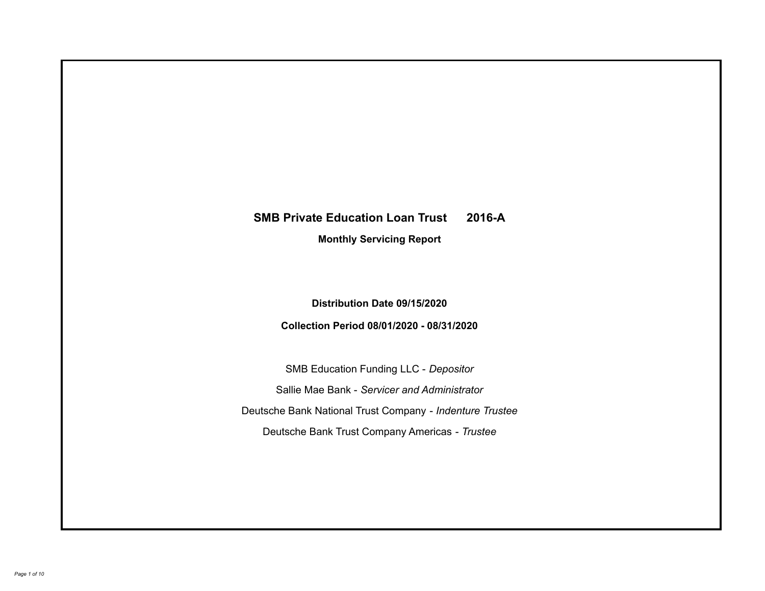# **SMB Private Education Loan Trust 2016-A Monthly Servicing Report**

**Distribution Date 09/15/2020**

**Collection Period 08/01/2020 - 08/31/2020**

SMB Education Funding LLC - *Depositor* Sallie Mae Bank - *Servicer and Administrator* Deutsche Bank National Trust Company - *Indenture Trustee* Deutsche Bank Trust Company Americas - *Trustee*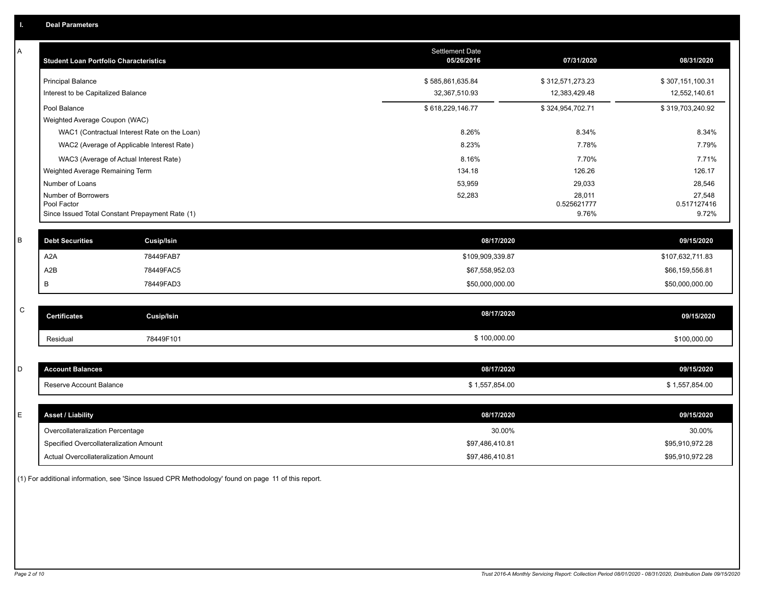| Α | <b>Student Loan Portfolio Characteristics</b>                  | <b>Settlement Date</b><br>05/26/2016 | 07/31/2020           | 08/31/2020           |
|---|----------------------------------------------------------------|--------------------------------------|----------------------|----------------------|
|   | <b>Principal Balance</b>                                       | \$585,861,635.84                     | \$312,571,273.23     | \$307,151,100.31     |
|   | Interest to be Capitalized Balance                             | 32,367,510.93                        | 12,383,429.48        | 12,552,140.61        |
|   | Pool Balance                                                   | \$618,229,146.77                     | \$324,954,702.71     | \$319,703,240.92     |
|   | Weighted Average Coupon (WAC)                                  |                                      |                      |                      |
|   | WAC1 (Contractual Interest Rate on the Loan)                   | 8.26%                                | 8.34%                | 8.34%                |
|   | WAC2 (Average of Applicable Interest Rate)                     | 8.23%                                | 7.78%                | 7.79%                |
|   | WAC3 (Average of Actual Interest Rate)                         | 8.16%                                | 7.70%                | 7.71%                |
|   | Weighted Average Remaining Term                                | 134.18                               | 126.26               | 126.17               |
|   | Number of Loans                                                | 53,959                               | 29,033               | 28,546               |
|   | Number of Borrowers                                            | 52,283                               | 28,011               | 27,548               |
|   | Pool Factor<br>Since Issued Total Constant Prepayment Rate (1) |                                      | 0.525621777<br>9.76% | 0.517127416<br>9.72% |
|   |                                                                |                                      |                      |                      |
| B | <b>Debt Securities</b><br><b>Cusip/Isin</b>                    | 08/17/2020                           |                      | 09/15/2020           |
|   | A2A<br>78449FAB7                                               | \$109,909,339.87                     |                      | \$107,632,711.83     |
|   | A2B<br>78449FAC5                                               | \$67,558,952.03                      |                      | \$66,159,556.81      |
|   | 78449FAD3<br>B                                                 | \$50,000,000.00                      |                      | \$50,000,000.00      |
|   |                                                                |                                      |                      |                      |
| C | <b>Certificates</b><br><b>Cusip/Isin</b>                       | 08/17/2020                           |                      | 09/15/2020           |
|   | 78449F101<br>Residual                                          | \$100,000.00                         |                      | \$100,000.00         |
|   |                                                                |                                      |                      |                      |
| D | <b>Account Balances</b>                                        | 08/17/2020                           |                      | 09/15/2020           |
|   | Reserve Account Balance                                        | \$1,557,854.00                       |                      | \$1,557,854.00       |
|   |                                                                |                                      |                      |                      |
| Е | <b>Asset / Liability</b>                                       | 08/17/2020                           |                      | 09/15/2020           |
|   | Overcollateralization Percentage                               | 30.00%                               |                      | 30.00%               |
|   | Specified Overcollateralization Amount                         | \$97,486,410.81                      |                      | \$95,910,972.28      |
|   | Actual Overcollateralization Amount                            | \$97,486,410.81                      |                      | \$95,910,972.28      |

(1) For additional information, see 'Since Issued CPR Methodology' found on page 11 of this report.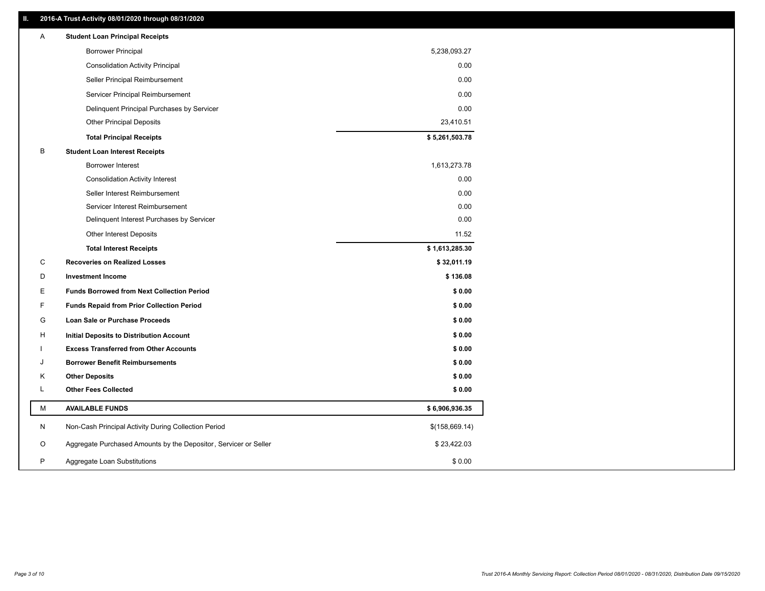# **II. 2016-A Trust Activity 08/01/2020 through 08/31/2020**

| Α | <b>Student Loan Principal Receipts</b>                           |                |  |
|---|------------------------------------------------------------------|----------------|--|
|   | <b>Borrower Principal</b>                                        | 5,238,093.27   |  |
|   | <b>Consolidation Activity Principal</b>                          | 0.00           |  |
|   | Seller Principal Reimbursement                                   | 0.00           |  |
|   | Servicer Principal Reimbursement                                 | 0.00           |  |
|   | Delinquent Principal Purchases by Servicer                       | 0.00           |  |
|   | <b>Other Principal Deposits</b>                                  | 23,410.51      |  |
|   | <b>Total Principal Receipts</b>                                  | \$5,261,503.78 |  |
| В | <b>Student Loan Interest Receipts</b>                            |                |  |
|   | Borrower Interest                                                | 1,613,273.78   |  |
|   | <b>Consolidation Activity Interest</b>                           | 0.00           |  |
|   | Seller Interest Reimbursement                                    | 0.00           |  |
|   | Servicer Interest Reimbursement                                  | 0.00           |  |
|   | Delinquent Interest Purchases by Servicer                        | 0.00           |  |
|   | <b>Other Interest Deposits</b>                                   | 11.52          |  |
|   | <b>Total Interest Receipts</b>                                   | \$1,613,285.30 |  |
| C | <b>Recoveries on Realized Losses</b>                             | \$32,011.19    |  |
| D | <b>Investment Income</b>                                         | \$136.08       |  |
| Е | <b>Funds Borrowed from Next Collection Period</b>                | \$0.00         |  |
| F | <b>Funds Repaid from Prior Collection Period</b>                 | \$0.00         |  |
| G | Loan Sale or Purchase Proceeds                                   | \$0.00         |  |
| н | Initial Deposits to Distribution Account                         | \$0.00         |  |
|   | <b>Excess Transferred from Other Accounts</b>                    | \$0.00         |  |
| J | <b>Borrower Benefit Reimbursements</b>                           | \$0.00         |  |
| Κ | <b>Other Deposits</b>                                            | \$0.00         |  |
| L | <b>Other Fees Collected</b>                                      | \$0.00         |  |
| М | <b>AVAILABLE FUNDS</b>                                           | \$6,906,936.35 |  |
| N | Non-Cash Principal Activity During Collection Period             | \$(158,669.14) |  |
| O | Aggregate Purchased Amounts by the Depositor, Servicer or Seller | \$23,422.03    |  |
| P | Aggregate Loan Substitutions                                     | \$0.00         |  |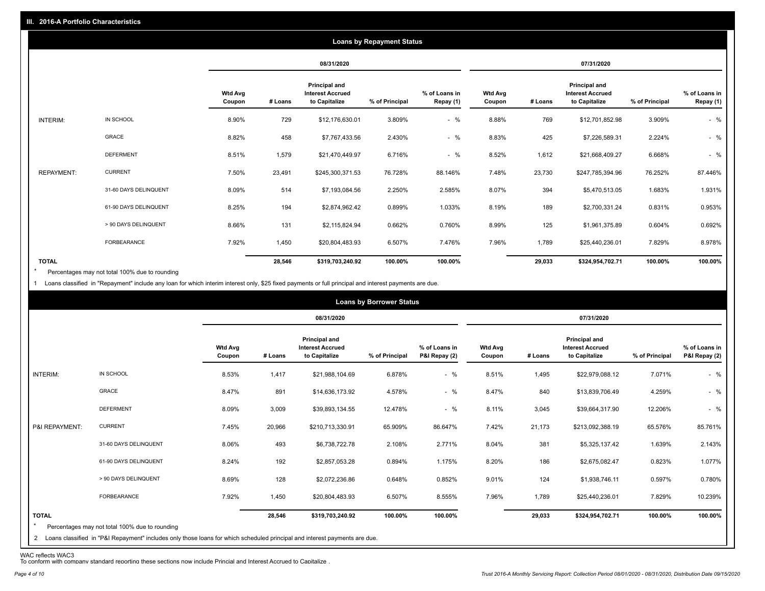|                   | <b>Loans by Repayment Status</b> |                          |         |                                                                  |                |                            |                          |         |                                                           |                |                            |
|-------------------|----------------------------------|--------------------------|---------|------------------------------------------------------------------|----------------|----------------------------|--------------------------|---------|-----------------------------------------------------------|----------------|----------------------------|
|                   |                                  |                          |         | 08/31/2020                                                       |                |                            |                          |         | 07/31/2020                                                |                |                            |
|                   |                                  | <b>Wtd Avg</b><br>Coupon | # Loans | <b>Principal and</b><br><b>Interest Accrued</b><br>to Capitalize | % of Principal | % of Loans in<br>Repay (1) | <b>Wtd Avg</b><br>Coupon | # Loans | Principal and<br><b>Interest Accrued</b><br>to Capitalize | % of Principal | % of Loans in<br>Repay (1) |
| INTERIM:          | IN SCHOOL                        | 8.90%                    | 729     | \$12,176,630.01                                                  | 3.809%         | $-$ %                      | 8.88%                    | 769     | \$12,701,852.98                                           | 3.909%         | $-$ %                      |
|                   | GRACE                            | 8.82%                    | 458     | \$7,767,433.56                                                   | 2.430%         | $-$ %                      | 8.83%                    | 425     | \$7,226,589.31                                            | 2.224%         | $-$ %                      |
|                   | <b>DEFERMENT</b>                 | 8.51%                    | 1,579   | \$21,470,449.97                                                  | 6.716%         | $-$ %                      | 8.52%                    | 1,612   | \$21,668,409.27                                           | 6.668%         | $-$ %                      |
| <b>REPAYMENT:</b> | <b>CURRENT</b>                   | 7.50%                    | 23,491  | \$245,300,371.53                                                 | 76.728%        | 88.146%                    | 7.48%                    | 23,730  | \$247,785,394.96                                          | 76.252%        | 87.446%                    |
|                   | 31-60 DAYS DELINQUENT            | 8.09%                    | 514     | \$7,193,084.56                                                   | 2.250%         | 2.585%                     | 8.07%                    | 394     | \$5,470,513.05                                            | 1.683%         | 1.931%                     |
|                   | 61-90 DAYS DELINQUENT            | 8.25%                    | 194     | \$2,874,962.42                                                   | 0.899%         | 1.033%                     | 8.19%                    | 189     | \$2,700,331.24                                            | 0.831%         | 0.953%                     |
|                   | > 90 DAYS DELINQUENT             | 8.66%                    | 131     | \$2,115,824.94                                                   | 0.662%         | 0.760%                     | 8.99%                    | 125     | \$1,961,375.89                                            | 0.604%         | 0.692%                     |
|                   | <b>FORBEARANCE</b>               | 7.92%                    | 1,450   | \$20,804,483.93                                                  | 6.507%         | 7.476%                     | 7.96%                    | 1,789   | \$25,440,236.01                                           | 7.829%         | 8.978%                     |
| <b>TOTAL</b>      |                                  |                          | 28,546  | \$319,703,240.92                                                 | 100.00%        | 100.00%                    |                          | 29,033  | \$324,954,702.71                                          | 100.00%        | 100.00%                    |

Percentages may not total 100% due to rounding  $\star$ 

1 Loans classified in "Repayment" include any loan for which interim interest only, \$25 fixed payments or full principal and interest payments are due.

|                         |                                                                                                                              |                          |         |                                                           | <b>Loans by Borrower Status</b> |                                |                          |         |                                                           |                |                                |
|-------------------------|------------------------------------------------------------------------------------------------------------------------------|--------------------------|---------|-----------------------------------------------------------|---------------------------------|--------------------------------|--------------------------|---------|-----------------------------------------------------------|----------------|--------------------------------|
|                         |                                                                                                                              |                          |         | 08/31/2020                                                |                                 |                                |                          |         | 07/31/2020                                                |                |                                |
|                         |                                                                                                                              | <b>Wtd Avg</b><br>Coupon | # Loans | Principal and<br><b>Interest Accrued</b><br>to Capitalize | % of Principal                  | % of Loans in<br>P&I Repay (2) | <b>Wtd Avg</b><br>Coupon | # Loans | Principal and<br><b>Interest Accrued</b><br>to Capitalize | % of Principal | % of Loans in<br>P&I Repay (2) |
| INTERIM:                | IN SCHOOL                                                                                                                    | 8.53%                    | 1,417   | \$21,988,104.69                                           | 6.878%                          | $-$ %                          | 8.51%                    | 1,495   | \$22,979,088.12                                           | 7.071%         | $-$ %                          |
|                         | <b>GRACE</b>                                                                                                                 | 8.47%                    | 891     | \$14,636,173.92                                           | 4.578%                          | $-$ %                          | 8.47%                    | 840     | \$13,839,706.49                                           | 4.259%         | $-$ %                          |
|                         | <b>DEFERMENT</b>                                                                                                             | 8.09%                    | 3,009   | \$39,893,134.55                                           | 12.478%                         | $-$ %                          | 8.11%                    | 3,045   | \$39,664,317.90                                           | 12.206%        | $-$ %                          |
| P&I REPAYMENT:          | <b>CURRENT</b>                                                                                                               | 7.45%                    | 20,966  | \$210,713,330.91                                          | 65.909%                         | 86.647%                        | 7.42%                    | 21,173  | \$213,092,388.19                                          | 65.576%        | 85.761%                        |
|                         | 31-60 DAYS DELINQUENT                                                                                                        | 8.06%                    | 493     | \$6,738,722.78                                            | 2.108%                          | 2.771%                         | 8.04%                    | 381     | \$5,325,137.42                                            | 1.639%         | 2.143%                         |
|                         | 61-90 DAYS DELINQUENT                                                                                                        | 8.24%                    | 192     | \$2,857,053.28                                            | 0.894%                          | 1.175%                         | 8.20%                    | 186     | \$2,675,082.47                                            | 0.823%         | 1.077%                         |
|                         | > 90 DAYS DELINQUENT                                                                                                         | 8.69%                    | 128     | \$2,072,236.86                                            | 0.648%                          | 0.852%                         | 9.01%                    | 124     | \$1,938,746.11                                            | 0.597%         | 0.780%                         |
|                         | FORBEARANCE                                                                                                                  | 7.92%                    | 1,450   | \$20,804,483.93                                           | 6.507%                          | 8.555%                         | 7.96%                    | 1,789   | \$25,440,236.01                                           | 7.829%         | 10.239%                        |
| <b>TOTAL</b><br>$\star$ | Percentages may not total 100% due to rounding                                                                               |                          | 28,546  | \$319,703,240.92                                          | 100.00%                         | 100.00%                        |                          | 29,033  | \$324,954,702.71                                          | 100.00%        | 100.00%                        |
|                         | 2 Loans classified in "P&I Repayment" includes only those loans for which scheduled principal and interest payments are due. |                          |         |                                                           |                                 |                                |                          |         |                                                           |                |                                |

WAC reflects WAC3 To conform with company standard reporting these sections now include Princial and Interest Accrued to Capitalize .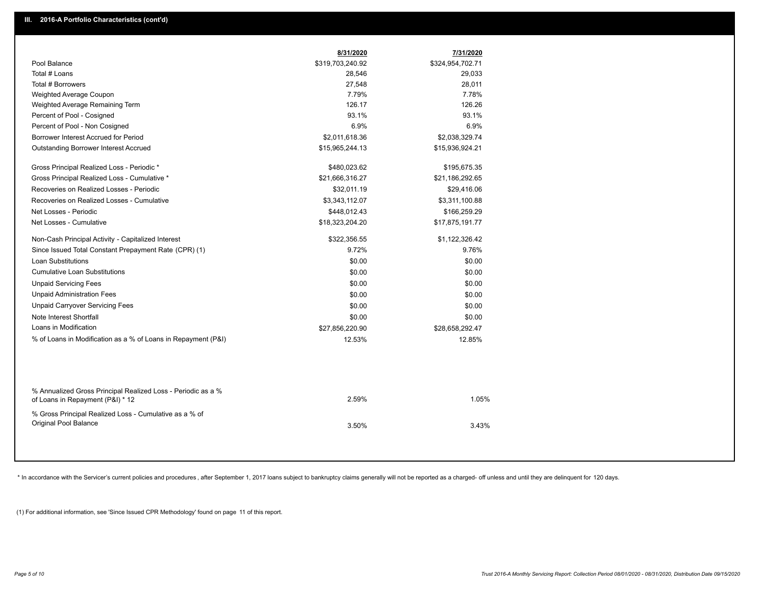|                                                               | 8/31/2020        | 7/31/2020        |  |
|---------------------------------------------------------------|------------------|------------------|--|
| Pool Balance                                                  | \$319,703,240.92 | \$324,954,702.71 |  |
| Total # Loans                                                 | 28,546           | 29,033           |  |
| Total # Borrowers                                             | 27,548           | 28,011           |  |
| Weighted Average Coupon                                       | 7.79%            | 7.78%            |  |
| Weighted Average Remaining Term                               | 126.17           | 126.26           |  |
| Percent of Pool - Cosigned                                    | 93.1%            | 93.1%            |  |
| Percent of Pool - Non Cosigned                                | 6.9%             | 6.9%             |  |
| Borrower Interest Accrued for Period                          | \$2,011,618.36   | \$2,038,329.74   |  |
| Outstanding Borrower Interest Accrued                         | \$15,965,244.13  | \$15,936,924.21  |  |
| Gross Principal Realized Loss - Periodic *                    | \$480,023.62     | \$195,675.35     |  |
| Gross Principal Realized Loss - Cumulative *                  | \$21,666,316.27  | \$21,186,292.65  |  |
| Recoveries on Realized Losses - Periodic                      | \$32,011.19      | \$29,416.06      |  |
| Recoveries on Realized Losses - Cumulative                    | \$3,343,112.07   | \$3,311,100.88   |  |
| Net Losses - Periodic                                         | \$448,012.43     | \$166,259.29     |  |
| Net Losses - Cumulative                                       | \$18,323,204.20  | \$17,875,191.77  |  |
| Non-Cash Principal Activity - Capitalized Interest            | \$322,356.55     | \$1,122,326.42   |  |
| Since Issued Total Constant Prepayment Rate (CPR) (1)         | 9.72%            | 9.76%            |  |
| <b>Loan Substitutions</b>                                     | \$0.00           | \$0.00           |  |
| <b>Cumulative Loan Substitutions</b>                          | \$0.00           | \$0.00           |  |
| <b>Unpaid Servicing Fees</b>                                  | \$0.00           | \$0.00           |  |
| <b>Unpaid Administration Fees</b>                             | \$0.00           | \$0.00           |  |
| <b>Unpaid Carryover Servicing Fees</b>                        | \$0.00           | \$0.00           |  |
| Note Interest Shortfall                                       | \$0.00           | \$0.00           |  |
| Loans in Modification                                         | \$27,856,220.90  | \$28,658,292.47  |  |
| % of Loans in Modification as a % of Loans in Repayment (P&I) | 12.53%           | 12.85%           |  |
|                                                               |                  |                  |  |
| % Annualized Gross Principal Realized Loss - Periodic as a %  |                  |                  |  |
| of Loans in Repayment (P&I) * 12                              | 2.59%            | 1.05%            |  |
| % Gross Principal Realized Loss - Cumulative as a % of        |                  |                  |  |
| Original Pool Balance                                         | 3.50%            | 3.43%            |  |
|                                                               |                  |                  |  |

\* In accordance with the Servicer's current policies and procedures, after September 1, 2017 loans subject to bankruptcy claims generally will not be reported as a charged- off unless and until they are delinquent for 120

(1) For additional information, see 'Since Issued CPR Methodology' found on page 11 of this report.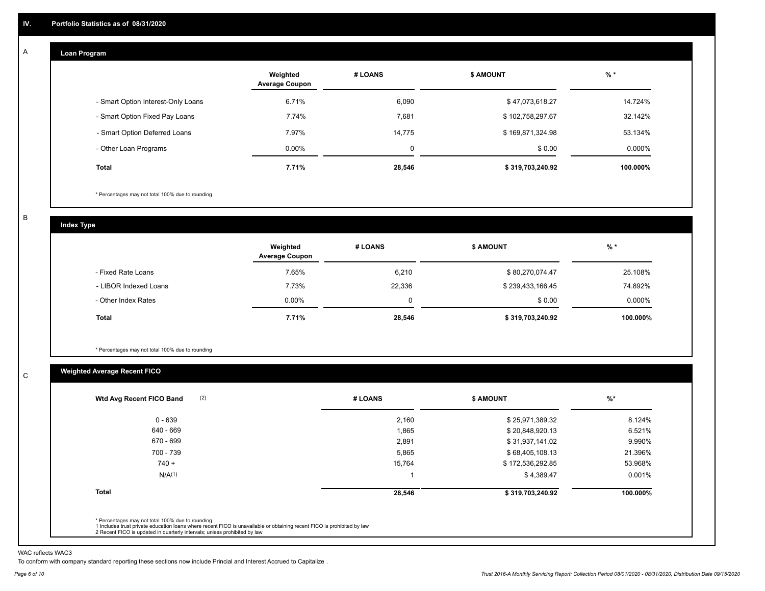#### **Loan Program**  A

|                                    | Weighted<br><b>Average Coupon</b> | # LOANS | <b>\$ AMOUNT</b> | $%$ *    |
|------------------------------------|-----------------------------------|---------|------------------|----------|
| - Smart Option Interest-Only Loans | 6.71%                             | 6,090   | \$47,073,618.27  | 14.724%  |
| - Smart Option Fixed Pay Loans     | 7.74%                             | 7,681   | \$102,758,297.67 | 32.142%  |
| - Smart Option Deferred Loans      | 7.97%                             | 14,775  | \$169,871,324.98 | 53.134%  |
| - Other Loan Programs              | $0.00\%$                          | 0       | \$0.00           | 0.000%   |
| <b>Total</b>                       | 7.71%                             | 28,546  | \$319,703,240.92 | 100.000% |

\* Percentages may not total 100% due to rounding

B

C

**Index Type**

|                       | Weighted<br><b>Average Coupon</b> | # LOANS | <b>\$ AMOUNT</b> | $%$ *     |
|-----------------------|-----------------------------------|---------|------------------|-----------|
| - Fixed Rate Loans    | 7.65%                             | 6,210   | \$80,270,074.47  | 25.108%   |
| - LIBOR Indexed Loans | 7.73%                             | 22,336  | \$239,433,166.45 | 74.892%   |
| - Other Index Rates   | $0.00\%$                          | 0       | \$0.00           | $0.000\%$ |
| Total                 | 7.71%                             | 28,546  | \$319,703,240.92 | 100.000%  |

\* Percentages may not total 100% due to rounding

# **Weighted Average Recent FICO**

| $0 - 639$<br>640 - 669<br>670 - 699 | 2,160<br>1,865<br>2,891 | \$25,971,389.32<br>\$20,848,920.13 | 8.124%<br>6.521% |
|-------------------------------------|-------------------------|------------------------------------|------------------|
|                                     |                         |                                    |                  |
|                                     |                         |                                    |                  |
|                                     |                         | \$31,937,141.02                    | 9.990%           |
| 700 - 739                           | 5,865                   | \$68,405,108.13                    | 21.396%          |
| $740 +$                             | 15,764                  | \$172,536,292.85                   | 53.968%          |
| N/A <sup>(1)</sup>                  |                         | \$4,389.47                         | 0.001%           |
| <b>Total</b>                        | 28,546                  | \$319,703,240.92                   | 100.000%         |

WAC reflects WAC3

To conform with company standard reporting these sections now include Princial and Interest Accrued to Capitalize .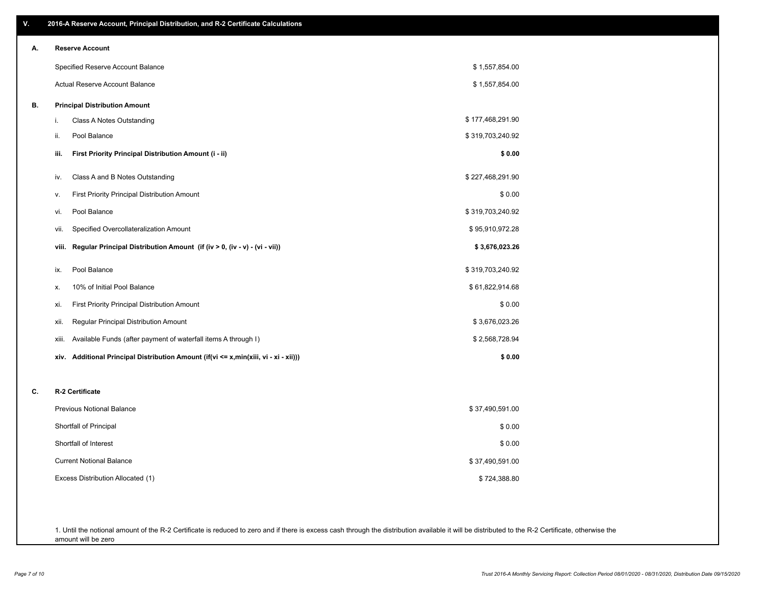| А. | <b>Reserve Account</b>                                                                  |                  |
|----|-----------------------------------------------------------------------------------------|------------------|
|    | Specified Reserve Account Balance                                                       | \$1,557,854.00   |
|    | Actual Reserve Account Balance                                                          | \$1,557,854.00   |
| В. | <b>Principal Distribution Amount</b>                                                    |                  |
|    | Class A Notes Outstanding<br>i.                                                         | \$177,468,291.90 |
|    | ii.<br>Pool Balance                                                                     | \$319,703,240.92 |
|    | First Priority Principal Distribution Amount (i - ii)<br>iii.                           | \$0.00           |
|    | Class A and B Notes Outstanding<br>iv.                                                  | \$227,468,291.90 |
|    | First Priority Principal Distribution Amount<br>V.                                      | \$0.00           |
|    | Pool Balance<br>vi.                                                                     | \$319,703,240.92 |
|    | Specified Overcollateralization Amount<br>vii.                                          | \$95,910,972.28  |
|    | Regular Principal Distribution Amount (if (iv > 0, (iv - v) - (vi - vii))<br>viii.      | \$3,676,023.26   |
|    | Pool Balance<br>ix.                                                                     | \$319,703,240.92 |
|    | 10% of Initial Pool Balance<br>х.                                                       | \$61,822,914.68  |
|    | <b>First Priority Principal Distribution Amount</b><br>xi.                              | \$0.00           |
|    | Regular Principal Distribution Amount<br>xii.                                           | \$3,676,023.26   |
|    | Available Funds (after payment of waterfall items A through I)<br>xiii.                 | \$2,568,728.94   |
|    | Additional Principal Distribution Amount (if(vi <= x,min(xiii, vi - xi - xii)))<br>xiv. | \$0.00           |
| c. | R-2 Certificate                                                                         |                  |
|    | <b>Previous Notional Balance</b>                                                        | \$37,490,591.00  |
|    | Shortfall of Principal                                                                  | \$0.00           |
|    | Shortfall of Interest                                                                   | \$0.00           |
|    | <b>Current Notional Balance</b>                                                         | \$37,490,591.00  |
|    | Excess Distribution Allocated (1)                                                       | \$724,388.80     |

1. Until the notional amount of the R-2 Certificate is reduced to zero and if there is excess cash through the distribution available it will be distributed to the R-2 Certificate, otherwise the amount will be zero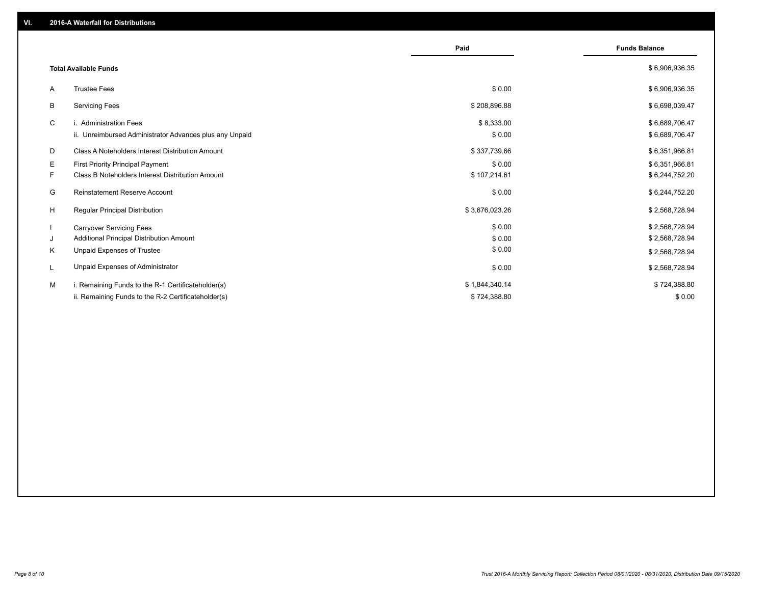|    |                                                         | Paid           | <b>Funds Balance</b> |
|----|---------------------------------------------------------|----------------|----------------------|
|    | <b>Total Available Funds</b>                            |                | \$6,906,936.35       |
| A  | <b>Trustee Fees</b>                                     | \$0.00         | \$6,906,936.35       |
| В  | <b>Servicing Fees</b>                                   | \$208,896.88   | \$6,698,039.47       |
| C  | i. Administration Fees                                  | \$8,333.00     | \$6,689,706.47       |
|    | ii. Unreimbursed Administrator Advances plus any Unpaid | \$0.00         | \$6,689,706.47       |
| D  | Class A Noteholders Interest Distribution Amount        | \$337,739.66   | \$6,351,966.81       |
| Е  | <b>First Priority Principal Payment</b>                 | \$0.00         | \$6,351,966.81       |
| F. | Class B Noteholders Interest Distribution Amount        | \$107,214.61   | \$6,244,752.20       |
| G  | Reinstatement Reserve Account                           | \$0.00         | \$6,244,752.20       |
| H  | <b>Regular Principal Distribution</b>                   | \$3,676,023.26 | \$2,568,728.94       |
|    | <b>Carryover Servicing Fees</b>                         | \$0.00         | \$2,568,728.94       |
| J  | Additional Principal Distribution Amount                | \$0.00         | \$2,568,728.94       |
| Κ  | Unpaid Expenses of Trustee                              | \$0.00         | \$2,568,728.94       |
| L  | Unpaid Expenses of Administrator                        | \$0.00         | \$2,568,728.94       |
| M  | i. Remaining Funds to the R-1 Certificateholder(s)      | \$1,844,340.14 | \$724,388.80         |
|    | ii. Remaining Funds to the R-2 Certificateholder(s)     | \$724,388.80   | \$0.00               |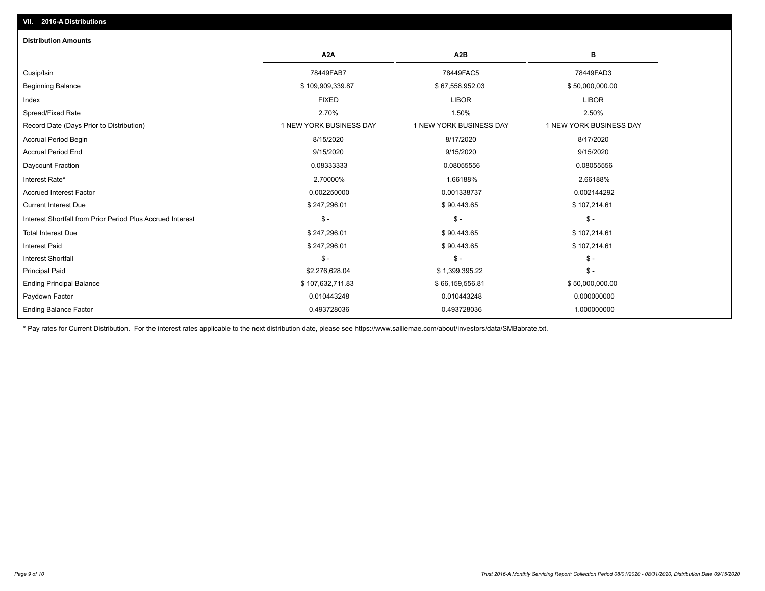# **VII. 2016-A Distributions**

| <b>Distribution Amounts</b>                                |                         |                         |                         |
|------------------------------------------------------------|-------------------------|-------------------------|-------------------------|
|                                                            | A <sub>2</sub> A        | A <sub>2</sub> B        | в                       |
| Cusip/Isin                                                 | 78449FAB7               | 78449FAC5               | 78449FAD3               |
| <b>Beginning Balance</b>                                   | \$109,909,339.87        | \$67,558,952.03         | \$50,000,000.00         |
| Index                                                      | <b>FIXED</b>            | <b>LIBOR</b>            | <b>LIBOR</b>            |
| Spread/Fixed Rate                                          | 2.70%                   | 1.50%                   | 2.50%                   |
| Record Date (Days Prior to Distribution)                   | 1 NEW YORK BUSINESS DAY | 1 NEW YORK BUSINESS DAY | 1 NEW YORK BUSINESS DAY |
| Accrual Period Begin                                       | 8/15/2020               | 8/17/2020               | 8/17/2020               |
| <b>Accrual Period End</b>                                  | 9/15/2020               | 9/15/2020               | 9/15/2020               |
| Daycount Fraction                                          | 0.08333333              | 0.08055556              | 0.08055556              |
| Interest Rate*                                             | 2.70000%                | 1.66188%                | 2.66188%                |
| <b>Accrued Interest Factor</b>                             | 0.002250000             | 0.001338737             | 0.002144292             |
| <b>Current Interest Due</b>                                | \$247,296.01            | \$90,443.65             | \$107,214.61            |
| Interest Shortfall from Prior Period Plus Accrued Interest | $\mathsf{\$}$ -         | $\mathcal{S}$ -         | $\mathsf{\$}$ -         |
| <b>Total Interest Due</b>                                  | \$247,296.01            | \$90,443.65             | \$107,214.61            |
| <b>Interest Paid</b>                                       | \$247,296.01            | \$90,443.65             | \$107,214.61            |
| <b>Interest Shortfall</b>                                  | $\mathsf{\$}$ -         | $\mathsf{\$}$ -         | $\mathsf{\$}$ -         |
| <b>Principal Paid</b>                                      | \$2,276,628.04          | \$1,399,395.22          | $$ -$                   |
| <b>Ending Principal Balance</b>                            | \$107,632,711.83        | \$66,159,556.81         | \$50,000,000.00         |
| Paydown Factor                                             | 0.010443248             | 0.010443248             | 0.000000000             |
| <b>Ending Balance Factor</b>                               | 0.493728036             | 0.493728036             | 1.000000000             |

\* Pay rates for Current Distribution. For the interest rates applicable to the next distribution date, please see https://www.salliemae.com/about/investors/data/SMBabrate.txt.